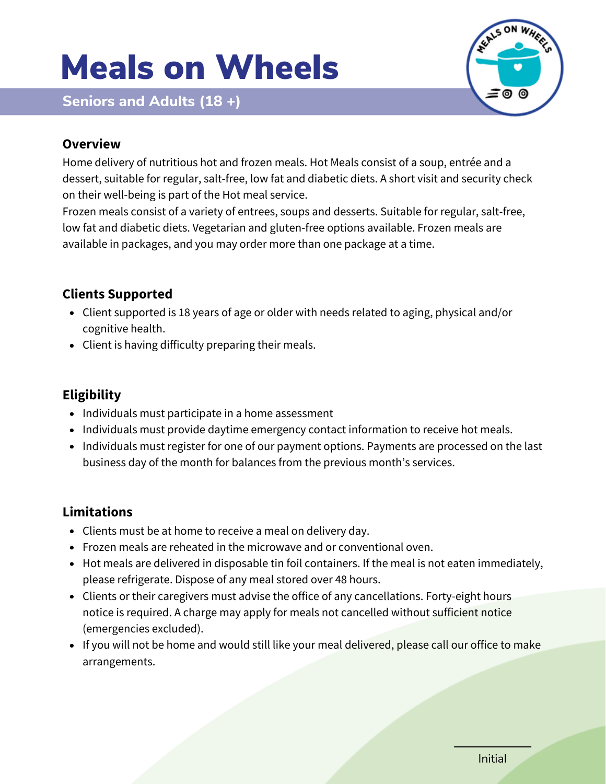# Meals on Wheels





#### **Overview**

Home delivery of nutritious hot and frozen meals. Hot Meals consist of a soup, entrée and a dessert, suitable for regular, salt-free, low fat and diabetic diets. A short visit and security check on their well-being is part of the Hot meal service.

Frozen meals consist of a variety of entrees, soups and desserts. Suitable for regular, salt-free, low fat and diabetic diets. Vegetarian and gluten-free options available. Frozen meals are available in packages, and you may order more than one package at a time.

# **Clients Supported**

- Client supported is 18 years of age or older with needs related to aging, physical and/or cognitive health.
- Client is having difficulty preparing their meals.

# **Eligibility**

- Individuals must participate in a home assessment
- Individuals must provide daytime emergency contact information to receive hot meals.
- Individuals must register for one of our payment options. Payments are processed on the last business day of the month for balances from the previous month's services.

## **Limitations**

- Clients must be at home to receive a meal on delivery day.
- Frozen meals are reheated in the microwave and or conventional oven.
- Hot meals are delivered in disposable tin foil containers. If the meal is not eaten immediately, please refrigerate. Dispose of any meal stored over 48 hours.
- Clients or their caregivers must advise the office of any cancellations. Forty-eight hours notice is required. A charge may apply for meals not cancelled without sufficient notice (emergencies excluded).
- If you will not be home and would still like your meal delivered, please call our office to make arrangements.